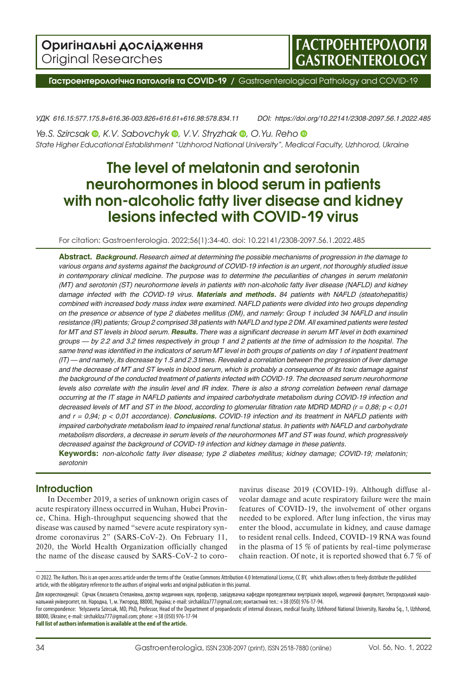

**Гастроентерологічна патологія та СОVID-19 /** Gastroenterological Pathology and COVID-19

*УДК 616.15:577.175.8+616.36-003.826+616.61+616.98:578.834.11 DOI: https://doi.org/10.22141/2308-2097.56.1.2022.485*

*Ye.S.Szircsak* **•**, *K.V. Sabovchyk* •, *V.V. Stryzhak* •, *O.Yu. Reho* • *State Higher Educational Establishment "Uzhhorod National University", Medical Faculty, Uzhhorod, Ukraine*

# **The level of melatonin and serotonin neurohormones in blood serum in patients with non-alcoholic fatty liver disease and kidney lesions infected with COVID-19 virus**

For citation: Gastroenterologìa. 2022;56(1):34-40. doi: 10.22141/2308-2097.56.1.2022.485

**Abstract.**  *Background. Research aimed at determining the possible mechanisms of progression in the damage to* various organs and systems against the background of COVID-19 infection is an urgent, not thoroughly studied issue *in contemporary clinical medicine. The purpose was to determine the peculiarities of changes in serum melatonin* (MT) and serotonin (ST) neurohormone levels in patients with non-alcoholic fatty liver disease (NAFLD) and kidney *damage infected with the COVID-19 virus. Materials and methods. 84 patients with NAFLD (steatohepatitis) combined with increased body mass index were examined. NAFLD patients were divided into two groups depending* on the presence or absence of type 2 diabetes mellitus (DM), and namely: Group 1 included 34 NAFLD and insulin resistance (IR) patients; Group 2 comprised 38 patients with NAFLD and type 2 DM. All examined patients were tested for MT and ST levels in blood serum. Results. There was a significant decrease in serum MT level in both examined groups - by 2.2 and 3.2 times respectively in group 1 and 2 patients at the time of admission to the hospital. The same trend was identified in the indicators of serum MT level in both groups of patients on day 1 of inpatient treatment (IT) — and namely, its decrease by 1.5 and 2.3 times. Revealed a correlation between the progression of liver damage and the decrease of MT and ST levels in blood serum, which is probably a consequence of its toxic damage against *the background of the conducted treatment of patients infected with COVID-19. The decreased serum neurohormone* levels also correlate with the insulin level and IR index. There is also a strong correlation between renal damage *occurring at the IT stage in NAFLD patients and impaired carbohydrate metabolism during COVID-19 infection and* decreased levels of MT and ST in the blood, according to glomerular filtration rate MDRD MDRD ( $r = 0.88$ ;  $p < 0.01$ ) and  $r = 0.94$ ;  $p < 0.01$  accordance). Conclusions. COVID-19 infection and its treatment in NAFLD patients with *impaired carbohydrate metabolism lead to impaired renal functional status. In patients with NAFLD and carbohydrate* metabolism disorders, a decrease in serum levels of the neurohormones MT and ST was found, which progressively *decreased against the background of COVID-19 infection and kidney damage in these patients.*

**Keywords:**  *non-alcoholic fatty liver disease; type 2 diabetes mellitus; kidney damage; СOVID-19; melatonin; serotonin*

# **Introduction**

In December 2019, a series of unknown origin cases of acute respiratory illness occurred in Wuhan, Hubei Province, China. High-throughput sequencing showed that the disease was caused by named "severe acute respiratory syndrome coronavirus 2" (SARS-CoV-2). On February 11, 2020, the World Health Organization officially changed the name of the disease caused by SARS-CoV-2 to coronavirus disease 2019 (COVID-19). Although diffuse alveolar damage and acute respiratory failure were the main features of COVID-19, the involvement of other organs needed to be explored. After lung infection, the virus may enter the blood, accumulate in kidney, and cause damage to resident renal cells. Indeed, COVID-19 RNA was found in the plasma of 15 % of patients by real-time polymerase chain reaction. Of note, it is reported showed that 6.7 % of

Для кореспонденції: Сірчак Єлизавета Степанівна, доктор медичних наук, професор, завідувачка кафедри пропедевтики внутрішніх хвороб, медичний факультет, Ужгородський національний університет, пл. Народна, 1, м. Ужгород, 88000, Україна; e-mail: sirchakliza777@gmail.com; контактний тел.: +38 (050) 976-17-94.

For correspondence: Yelyzaveta Szircsak, MD, PhD, Professor, Head of the Department of propaedeutic of internal diseases, medical faculty, Uzhhorod National University, Narodna Sq., 1, Uzhhorod, 88000, Ukraine; e-mail: sirchakliza777@gmail.com; phone: +38 (050) 976-17-94

**Full list of authors information is available at the end of the article.**

<sup>© 2022.</sup> The Authors. This is an open access article under the terms of the [Creative Commons Attribution 4.0 International License, CC BY,](https://creativecommons.org/licenses/by/4.0/) which allows others to freely distribute the published article, with the obligatory reference to the authors of original works and original publication in this journal.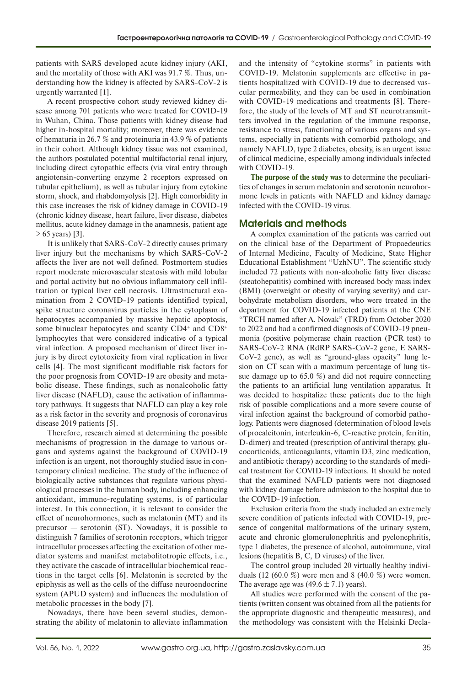patients with SARS developed acute kidney injury (AKI, and the mortality of those with AKI was 91.7 %. Thus, understanding how the kidney is affected by SARS-CoV-2 is urgently warranted [1].

A recent prospective cohort study reviewed kidney disease among 701 patients who were treated for COVID-19 in Wuhan, China. Those patients with kidney disease had higher in-hospital mortality; moreover, there was evidence of hematuria in 26.7 % and proteinuria in 43.9 % of patients in their cohort. Although kidney tissue was not examined, the authors postulated potential multifactorial renal injury, including direct cytopathic effects (via viral entry through angiotensin-converting enzyme 2 receptors expressed on tubular epithelium), as well as tubular injury from cytokine storm, shock, and rhabdomyolysis [2]. High comorbidity in this case increases the risk of kidney damage in COVID-19 (chronic kidney disease, heart failure, liver disease, diabetes mellitus, acute kidney damage in the anamnesis, patient age > 65 years) [3].

It is unlikely that SARS-CoV-2 directly causes primary liver injury but the mechanisms by which SARS-CoV-2 affects the liver are not well defined. Postmortem studies report moderate microvascular steatosis with mild lobular and portal activity but no obvious inflammatory cell infiltration or typical liver cell necrosis. Ultrastructural examination from 2 COVID-19 patients identified typical, spike structure coronavirus particles in the cytoplasm of hepatocytes accompanied by massive hepatic apoptosis, some binuclear hepatocytes and scanty CD4<sup>+</sup> and CD8<sup>+</sup> lymphocytes that were considered indicative of a typical viral infection. A proposed mechanism of direct liver injury is by direct cytotoxicity from viral replication in liver cells [4]. The most significant modifiable risk factors for the poor prognosis from COVID-19 are obesity and metabolic disease. These findings, such as nonalcoholic fatty liver disease (NAFLD), cause the activation of inflammatory pathways. It suggests that NAFLD can play a key role as a risk factor in the severity and prognosis of coronavirus disease 2019 patients [5].

Therefore, research aimed at determining the possible mechanisms of progression in the damage to various organs and systems against the background of COVID-19 infection is an urgent, not thoroughly studied issue in contemporary clinical medicine. The study of the influence of biologically active substances that regulate various physiological processes in the human body, including enhancing antioxidant, immune-regulating systems, is of particular interest. In this connection, it is relevant to consider the effect of neurohormones, such as melatonin (MT) and its precursor — serotonin (ST). Nowadays, it is possible to distinguish 7 families of serotonin receptors, which trigger intracellular processes affecting the excitation of other mediator systems and manifest metabolitotropic effects, i.e., they activate the cascade of intracellular biochemical reactions in the target cells [6]. Melatonin is secreted by the epiphysis as well as the cells of the diffuse neuroendocrine system (APUD system) and influences the modulation of metabolic processes in the body [7].

Nowadays, there have been several studies, demonstrating the ability of melatonin to alleviate inflammation

and the intensity of "cytokine storms" in patients with COVID-19. Melatonin supplements are effective in patients hospitalized with COVID-19 due to decreased vascular permeability, and they can be used in combination with COVID-19 medications and treatments [8]. Therefore, the study of the levels of MT and ST neurotransmitters involved in the regulation of the immune response, resistance to stress, functioning of various organs and systems, especially in patients with comorbid pathology, and namely NAFLD, type 2 diabetes, obesity, is an urgent issue of clinical medicine, especially among individuals infected with COVID-19.

**The purpose of the study was** to determine the peculiarities of changes in serum melatonin and serotonin neurohormone levels in patients with NAFLD and kidney damage infected with the COVID-19 virus.

# **Materials and methods**

A complex examination of the patients was carried out on the clinical base of the Department of Propaedeutics of Internal Medicine, Faculty of Medicine, State Higher Educational Establishment "UzhNU". The scientific study included 72 patients with non-alcoholic fatty liver disease (steatohepatitis) combined with increased body mass index (BMI) (overweight or obesity of varying severity) and carbohydrate metabolism disorders, who were treated in the department for COVID-19 infected patients at the CNE "TRCH named after A. Novak" (TRD) from October 2020 to 2022 and had a confirmed diagnosis of COVID-19 pneumonia (positive polymerase chain reaction (PCR test) to SARS-CoV-2 RNA (RdRP SARS-CoV-2 gene, E SARS-CoV-2 gene), as well as "ground-glass opacity" lung lesion on CT scan with a maximum percentage of lung tissue damage up to 65.0 %) and did not require connecting the patients to an artificial lung ventilation apparatus. It was decided to hospitalize these patients due to the high risk of possible complications and a more severe course of viral infection against the background of comorbid pathology. Patients were diagnosed (determination of blood levels of procalcitonin, interleukin-6, C-reactive protein, ferritin, D-dimer) and treated (prescription of antiviral therapy, glucocorticoids, anticoagulants, vitamin D3, zinc medication, and antibiotic therapy) according to the standards of medical treatment for COVID-19 infections. It should be noted that the examined NAFLD patients were not diagnosed with kidney damage before admission to the hospital due to the COVID-19 infection.

Exclusion criteria from the study included an extremely severe condition of patients infected with COVID-19, presence of congenital malformations of the urinary system, acute and chronic glomerulonephritis and pyelonephritis, type 1 diabetes, the presence of alcohol, autoimmune, viral lesions (hepatitis B, C, D viruses) of the liver.

The control group included 20 virtually healthy individuals (12 (60.0 %) were men and 8 (40.0 %) were women. The average age was  $(49.6 \pm 7.1)$  years).

All studies were performed with the consent of the patients (written consent was obtained from all the patients for the appropriate diagnostic and therapeutic measures), and the methodology was consistent with the Helsinki Decla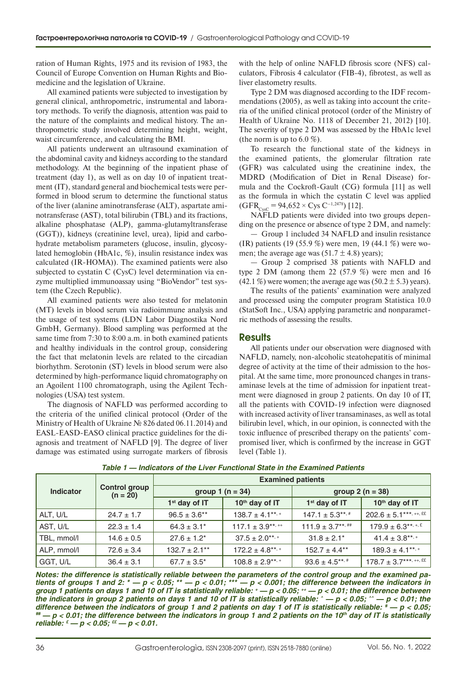ration of Human Rights, 1975 and its revision of 1983, the Council of Europe Convention on Human Rights and Biomedicine and the legislation of Ukraine.

All examined patients were subjected to investigation by general clinical, anthropometric, instrumental and laboratory methods. To verify the diagnosis, attention was paid to the nature of the complaints and medical history. The anthropometric study involved determining height, weight, waist circumference, and calculating the BMI.

All patients underwent an ultrasound examination of the abdominal cavity and kidneys according to the standard methodology. At the beginning of the inpatient phase of treatment (day 1), as well as on day 10 of inpatient treatment (IT), standard general and biochemical tests were performed in blood serum to determine the functional status of the liver (alanine aminotransferase (ALT), aspartate aminotransferase (AST), total bilirubin (TBL) and its fractions, alkaline phosphatase (ALP), gamma-glutamyltransferase (GGT)), kidneys (creatinine level, urea), lipid and carbohydrate metabolism parameters (glucose, insulin, glycosylated hemoglobin (HbA1c, %), insulin resistance index was calculated (IR-HOMA)). The examined patients were also subjected to cystatin C (CysC) level determination via enzyme multiplied immunoassay using "BioVendor" test system (the Czech Republic).

All examined patients were also tested for melatonin (MT) levels in blood serum via radioimmune analysis and the usage of test systems (LDN Labor Diagnostika Nord GmbH, Germany). Blood sampling was performed at the same time from 7:30 to 8:00 a.m. in both examined patients and healthy individuals in the control group, considering the fact that melatonin levels are related to the circadian biorhythm. Serotonin (ST) levels in blood serum were also determined by high-performance liquid chromatography on an Agoilent 1100 chromatograph, using the Agilent Technologies (USA) test system.

The diagnosis of NAFLD was performed according to the criteria of the unified clinical protocol (Order of the Ministry of Health of Ukraine № 826 dated 06.11.2014) and EASL-EASD-EASO clinical practice guidelines for the diagnosis and treatment of NAFLD [9]. The degree of liver damage was estimated using surrogate markers of fibrosis with the help of online NAFLD fibrosis score (NFS) calculators, Fibrosis 4 calculator (FIB-4), fibrotest, as well as liver elastometry results.

Type 2 DM was diagnosed according to the IDF recommendations (2005), as well as taking into account the criteria of the unified clinical protocol (order of the Ministry of Health of Ukraine No. 1118 of December 21, 2012) [10]. The severity of type 2 DM was assessed by the HbA1c level (the norm is up to  $6.0\%$ ).

To research the functional state of the kidneys in the examined patients, the glomerular filtration rate (GFR) was calculated using the creatinine index, the MDRD (Modification of Diet in Renal Disease) formula and the Cockroft-Gault (CG) formula [11] as well as the formula in which the cystatin C level was applied  $(GFR_{Cyc} = 94,652 \times Cys C^{-1,2478})$  [12].

NAFLD patients were divided into two groups depending on the presence or absence of type 2 DM, and namely:

— Group 1 included 34 NAFLD and insulin resistance (IR) patients (19 (55.9 %) were men, 19 (44.1 %) were women; the average age was  $(51.7 \pm 4.8)$  years);

— Group 2 comprised 38 patients with NAFLD and type 2 DM (among them  $22$  (57.9 %) were men and 16  $(42.1\%)$  were women; the average age was  $(50.2 \pm 5.3)$  years).

The results of the patients' examination were analyzed and processed using the computer program Statistica 10.0 (StatSoft Inc., USA) applying parametric and nonparametric methods of assessing the results.

### **Results**

All patients under our observation were diagnosed with NAFLD, namely, non-alcoholic steatohepatitis of minimal degree of activity at the time of their admission to the hospital. At the same time, more pronounced changes in transaminase levels at the time of admission for inpatient treatment were diagnosed in group 2 patients. On day 10 of IT, all the patients with COVID-19 infection were diagnosed with increased activity of liver transaminases, as well as total bilirubin level, which, in our opinion, is connected with the toxic influence of prescribed therapy on the patients' compromised liver, which is confirmed by the increase in GGT level (Table 1).

| <b>Indicator</b> |                                    | <b>Examined patients</b> |                    |                    |                             |  |
|------------------|------------------------------------|--------------------------|--------------------|--------------------|-----------------------------|--|
|                  | <b>Control group</b><br>$(n = 20)$ |                          | group 1 $(n = 34)$ | group $2(n = 38)$  |                             |  |
|                  |                                    | $1st$ day of IT          | $10th$ day of IT   | $1st$ day of IT    | $10th$ day of IT            |  |
| ALT, U/L         | $24.7 \pm 1.7$                     | $96.5 \pm 3.6$ **        | $138.7 \pm 4.1***$ | $147.1 \pm 5.3***$ | $202.6 \pm 5.1***$ , ++, ££ |  |
| AST, U/L         | $22.3 \pm 1.4$                     | $64.3 \pm 3.1^*$         | $117.1 \pm 3.9***$ | $111.9 \pm 3.7***$ | $179.9 \pm 6.3***$          |  |
| TBL, mmol/l      | $14.6 \pm 0.5$                     | $27.6 \pm 1.2^*$         | $37.5 \pm 2.0***$  | $31.8 \pm 2.1^*$   | $41.4 \pm 3.8***$           |  |
| ALP, mmol/l      | $72.6 \pm 3.4$                     | $132.7 \pm 2.1***$       | $172.2 \pm 4.8***$ | $152.7 \pm 4.4**$  | $189.3 \pm 4.1***$          |  |
| GGT, U/L         | $36.4 \pm 3.1$                     | $67.7 \pm 3.5^*$         | $108.8 \pm 2.9***$ | $93.6 \pm 4.5***$  | $178.7 \pm 3.7***$ , ++, ££ |  |

*Table 1 — Indicators of the Liver Functional State in the Examined Patients*

*Notes: the difference is statistically reliable between the parameters of the control group and the examined patients of groups 1 and 2: \* — р < 0.05; \*\* — р < 0.01; \*\*\* — р < 0.001; the difference between the indicators in group 1 patients on days 1 and 10 of IT is statistically reliable: + — р < 0.05; ++ — р < 0.01; the difference between the indicators in group 2 patients on days 1 and 10 of IT is statistically reliable: ^ — р < 0.05; ^^ — р < 0.01; the difference between the indicators of group 1 and 2 patients on day 1 of IT is statistically reliable: # — р < 0.05; ## — р < 0.01; the difference between the indicators in group 1 and 2 patients on the 10th day of IT is statistically reliable: £ — р < 0.05; ££ — р < 0.01.*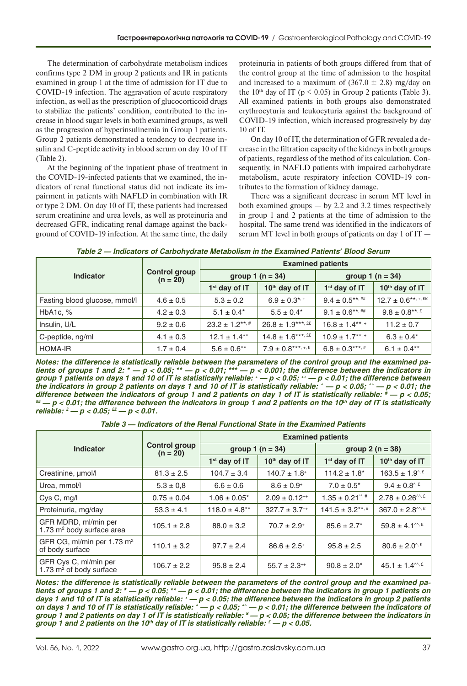The determination of carbohydrate metabolism indices confirms type 2 DM in group 2 patients and IR in patients examined in group 1 at the time of admission for IT due to COVID-19 infection. The aggravation of acute respiratory infection, as well as the prescription of glucocorticoid drugs to stabilize the patients' condition, contributed to the increase in blood sugar levels in both examined groups, as well as the progression of hyperinsulinemia in Group 1 patients. Group 2 patients demonstrated a tendency to decrease insulin and C-peptide activity in blood serum on day 10 of IT (Table 2).

At the beginning of the inpatient phase of treatment in the COVID-19-infected patients that we examined, the indicators of renal functional status did not indicate its impairment in patients with NAFLD in combination with IR or type 2 DM. On day 10 of IT, these patients had increased serum creatinine and urea levels, as well as proteinuria and decreased GFR, indicating renal damage against the background of COVID-19 infection. At the same time, the daily proteinuria in patients of both groups differed from that of the control group at the time of admission to the hospital and increased to a maximum of  $(367.0 \pm 2.8)$  mg/day on the 10<sup>th</sup> day of IT ( $p < 0.05$ ) in Group 2 patients (Table 3). All examined patients in both groups also demonstrated erythrocyturia and leukocyturia against the background of COVID-19 infection, which increased progressively by day 10 of IT.

On day 10 of IT, the determination of GFR revealed a decrease in the filtration capacity of the kidneys in both groups of patients, regardless of the method of its calculation. Consequently, in NAFLD patients with impaired carbohydrate metabolism, acute respiratory infection COVID-19 contributes to the formation of kidney damage.

There was a significant decrease in serum MT level in both examined groups  $-$  by 2.2 and 3.2 times respectively in group 1 and 2 patients at the time of admission to the hospital. The same trend was identified in the indicators of serum MT level in both groups of patients on day 1 of IT —

| Table 2 - Indicators of Carbohydrate Metabolism in the Examined Patients' Blood Serum |  |  |
|---------------------------------------------------------------------------------------|--|--|
|---------------------------------------------------------------------------------------|--|--|

|                               |                                    | <b>Examined patients</b> |                               |                           |                          |  |
|-------------------------------|------------------------------------|--------------------------|-------------------------------|---------------------------|--------------------------|--|
| <b>Indicator</b>              | <b>Control group</b><br>$(n = 20)$ |                          | group $1(n = 34)$             | group $1(n = 34)$         |                          |  |
|                               |                                    | $1st$ day of IT          | 10th day of IT                | 1 <sup>st</sup> day of IT | 10th day of IT           |  |
| Fasting blood glucose, mmol/l | $4.6 \pm 0.5$                      | $5.3 \pm 0.2$            | $6.9 \pm 0.3$ <sup>*, +</sup> | $9.4 \pm 0.5***$          | $12.7 \pm 0.6$ **, +, ££ |  |
| HbA <sub>1c</sub> , $%$       | $4.2 \pm 0.3$                      | $5.1 \pm 0.4^*$          | $5.5 \pm 0.4*$                | $9.1 \pm 0.6***$          | $9.8 \pm 0.8***$         |  |
| Insulin, U/L                  | $9.2 \pm 0.6$                      | $23.2 \pm 1.2***$        | $26.8 \pm 1.9***$             | $16.8 \pm 1.4***$         | $11.2 \pm 0.7$           |  |
| C-peptide, ng/ml              | $4.1 \pm 0.3$                      | $12.1 \pm 1.4**$         | $14.8 \pm 1.6***$             | $10.9 \pm 1.7***$         | $6.3 \pm 0.4^*$          |  |
| <b>HOMA-IR</b>                | $1.7 \pm 0.4$                      | $5.6 \pm 0.6$ **         | $7.9 \pm 0.8***, +5.5$        | $6.8 \pm 0.3***$          | $6.1 \pm 0.4***$         |  |

*Notes: the difference is statistically reliable between the parameters of the control group and the examined patients of groups 1 and 2: \* — р < 0.05; \*\* — р < 0.01; \*\*\* — р < 0.001; the difference between the indicators in group 1 patients on days 1 and 10 of IT is statistically reliable: + — р < 0.05; ++ — р < 0.01; the difference between the indicators in group 2 patients on days 1 and 10 of IT is statistically reliable: ^ — р < 0.05; ^^ — р < 0.01; the difference between the indicators of group 1 and 2 patients on day 1 of IT is statistically reliable: # — р < 0.05; ## — р < 0.01; the difference between the indicators in group 1 and 2 patients on the 10th day of IT is statistically reliable: £ — р < 0.05; ££ — р < 0.01.*

*Table 3 — Indicators of the Renal Functional State in the Examined Patients*

|                                                               |                                    | <b>Examined patients</b> |                      |                      |                                       |  |
|---------------------------------------------------------------|------------------------------------|--------------------------|----------------------|----------------------|---------------------------------------|--|
| Indicator                                                     | <b>Control group</b><br>$(n = 20)$ |                          | group 1 $(n = 34)$   | group $2(n = 38)$    |                                       |  |
|                                                               |                                    | $1st$ day of IT          | 10th day of IT       | $1st$ day of IT      | 10th day of IT                        |  |
| Creatinine, µmol/l                                            | $81.3 \pm 2.5$                     | $104.7 \pm 3.4$          | $140.7 \pm 1.8^+$    | $114.2 \pm 1.8^*$    | $163.5 \pm 1.9^{4.5}$                 |  |
| Urea, mmol/l                                                  | $5.3 \pm 0.8$                      | $6.6 \pm 0.6$            | $8.6 \pm 0.9^+$      | $7.0 \pm 0.5^*$      | $9.4 \pm 0.8^{4.5}$                   |  |
| Cys C, mg/l                                                   | $0.75 \pm 0.04$                    | $1.06 \pm 0.05^*$        | $2.09 \pm 0.12^{++}$ | $1.35 \pm 0.21$ ", # | $2.78 \pm 0.26^{\text{AA}}, \text{E}$ |  |
| Proteinuria, mg/day                                           | $53.3 \pm 4.1$                     | $118.0 \pm 4.8**$        | $327.7 \pm 3.7^{++}$ | $141.5 \pm 3.2***$   | $367.0 \pm 2.8^{\text{AA}}$ .         |  |
| GFR MDRD, ml/min per<br>1.73 m <sup>2</sup> body surface area | $105.1 \pm 2.8$                    | $88.0 \pm 3.2$           | $70.7 \pm 2.9^+$     | $85.6 \pm 2.7^*$     | $59.8 \pm 4.1^{\text{m},\text{E}}$    |  |
| GFR CG, ml/min per 1.73 m <sup>2</sup><br>of body surface     | $110.1 \pm 3.2$                    | $97.7 \pm 2.4$           | $86.6 \pm 2.5^+$     | $95.8 \pm 2.5$       | $80.6 \pm 2.0$ <sup>1</sup>           |  |
| GFR Cys C, ml/min per<br>1.73 $m2$ of body surface            | $106.7 \pm 2.2$                    | $95.8 \pm 2.4$           | $55.7 \pm 2.3^{++}$  | $90.8 \pm 2.0^*$     | $45.1 \pm 1.4^{\text{m}, E}$          |  |

*Notes: the difference is statistically reliable between the parameters of the control group and the examined patients of groups 1 and 2: \* — р < 0.05; \*\* — р < 0.01; the difference between the indicators in group 1 patients on days 1 and 10 of IT is statistically reliable: + — р < 0.05; the difference between the indicators in group 2 patients on days 1 and 10 of IT is statistically reliable: ^ — р < 0.05; ^^ — р < 0.01; the difference between the indicators of group 1 and 2 patients on day 1 of IT is statistically reliable: ¥ — р < 0.05; the difference between the indicators in group 1 and 2 patients on the 10th day of IT is statistically reliable: £ — р < 0.05.*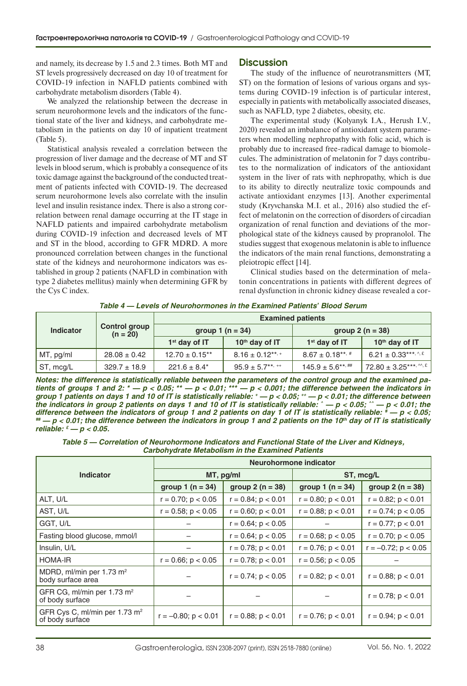and namely, its decrease by 1.5 and 2.3 times. Both MT and ST levels progressively decreased on day 10 of treatment for COVID-19 infection in NAFLD patients combined with carbohydrate metabolism disorders (Table 4).

We analyzed the relationship between the decrease in serum neurohormone levels and the indicators of the functional state of the liver and kidneys, and carbohydrate metabolism in the patients on day 10 of inpatient treatment (Table 5).

Statistical analysis revealed a correlation between the progression of liver damage and the decrease of MT and ST levels in blood serum, which is probably a consequence of its toxic damage against the background of the conducted treatment of patients infected with COVID-19. The decreased serum neurohormone levels also correlate with the insulin level and insulin resistance index. There is also a strong correlation between renal damage occurring at the IT stage in NAFLD patients and impaired carbohydrate metabolism during COVID-19 infection and decreased levels of MT and ST in the blood, according to GFR MDRD. A more pronounced correlation between changes in the functional state of the kidneys and neurohormone indicators was established in group 2 patients (NAFLD in combination with type 2 diabetes mellitus) mainly when determining GFR by the Cys C index.

### **Discussion**

The study of the influence of neurotransmitters (MT, ST) on the formation of lesions of various organs and systems during COVID-19 infection is of particular interest, especially in patients with metabolically associated diseases, such as NAFLD, type 2 diabetes, obesity, etc.

The experimental study (Kolyanyk I.A., Herush I.V., 2020) revealed an imbalance of antioxidant system parameters when modelling nephropathy with folic acid, which is probably due to increased free-radical damage to biomolecules. The administration of melatonin for 7 days contributes to the normalization of indicators of the antioxidant system in the liver of rats with nephropathy, which is due to its ability to directly neutralize toxic compounds and activate antioxidant enzymes [13]. Another experimental study (Kryvchanska M.I. et al., 2016) also studied the effect of melatonin on the correction of disorders of circadian organization of renal function and deviations of the morphological state of the kidneys caused by propranolol. The studies suggest that exogenous melatonin is able to influence the indicators of the main renal functions, demonstrating a pleiotropic effect [14].

Clinical studies based on the determination of melatonin concentrations in patients with different degrees of renal dysfunction in chronic kidney disease revealed a cor-

*Table 4 — Levels of Neurohormones in the Examined Patients' Blood Serum*

| <b>Indicator</b> | <b>Control group</b><br>$(n = 20)$ | <b>Examined patients</b> |                    |                    |                                 |  |
|------------------|------------------------------------|--------------------------|--------------------|--------------------|---------------------------------|--|
|                  |                                    | group $1(n = 34)$        |                    | group $2(n = 38)$  |                                 |  |
|                  |                                    | $1st$ day of IT          | $10th$ day of IT   | $1st$ day of IT    | $10th$ day of IT                |  |
| MT, pg/ml        | $28.08 \pm 0.42$                   | $12.70 \pm 0.15***$      | $8.16 \pm 0.12***$ | $8.67 \pm 0.18***$ | 6.21 ± 0.33***, $\frac{1}{2}$ £ |  |
| ST, mcg/L        | $329.7 \pm 18.9$                   | $221.6 \pm 8.4^*$        | $95.9 \pm 5.7***$  | $145.9 \pm 5.6***$ | 72.80 ± 3.25***, $M.E$          |  |

*Notes: the difference is statistically reliable between the parameters of the control group and the examined patients of groups 1 and 2: \* — р < 0.05; \*\* — р < 0.01; \*\*\* — р < 0.001; the difference between the indicators in group 1 patients on days 1 and 10 of IT is statistically reliable: + — р < 0.05; ++ — р < 0.01; the difference between the indicators in group 2 patients on days 1 and 10 of IT is statistically reliable: ^ — р < 0.05; ^^ — р < 0.01; the difference between the indicators of group 1 and 2 patients on day 1 of IT is statistically reliable: # — р < 0.05; ## — р < 0.01; the difference between the indicators in group 1 and 2 patients on the 10th day of IT is statistically reliable: £ — р < 0.05.*

*Table 5 — Correlation of Neurohormone Indicators and Functional State of the Liver and Kidneys, Carbohydrate Metabolism in the Examined Patients*

|                                                              | Neurohormone indicator   |                         |                         |                          |  |
|--------------------------------------------------------------|--------------------------|-------------------------|-------------------------|--------------------------|--|
| <b>Indicator</b>                                             |                          | MT, pg/ml               | ST, mcg/L               |                          |  |
|                                                              | group $1(n = 34)$        | group $2(n = 38)$       | group $1(n = 34)$       | group $2(n = 38)$        |  |
| ALT, U/L                                                     | $r = 0.70$ ; $p < 0.05$  | $r = 0.84$ ; $p < 0.01$ | $r = 0.80$ ; $p < 0.01$ | $r = 0.82$ ; $p < 0.01$  |  |
| AST, U/L                                                     | $r = 0.58$ ; $p < 0.05$  | $r = 0.60$ ; $p < 0.01$ | $r = 0.88$ ; $p < 0.01$ | $r = 0.74$ ; $p < 0.05$  |  |
| GGT, U/L                                                     |                          | $r = 0.64$ ; $p < 0.05$ |                         | $r = 0.77$ ; $p < 0.01$  |  |
| Fasting blood glucose, mmol/l                                |                          | $r = 0.64$ ; $p < 0.05$ | $r = 0.68$ ; $p < 0.05$ | $r = 0.70$ ; $p < 0.05$  |  |
| Insulin, U/L                                                 |                          | $r = 0.78$ ; $p < 0.01$ | $r = 0.76$ ; $p < 0.01$ | $r = -0.72$ ; $p < 0.05$ |  |
| <b>HOMA-IR</b>                                               | $r = 0.66$ ; $p < 0.05$  | $r = 0.78$ ; $p < 0.01$ | $r = 0.56$ ; $p < 0.05$ |                          |  |
| MDRD, ml/min per 1.73 m <sup>2</sup><br>body surface area    |                          | $r = 0.74$ ; $p < 0.05$ | $r = 0.82$ ; $p < 0.01$ | $r = 0.88$ ; $p < 0.01$  |  |
| GFR CG, ml/min per 1.73 m <sup>2</sup><br>of body surface    |                          |                         |                         | $r = 0.78$ ; $p < 0.01$  |  |
| GFR Cys C, ml/min per 1.73 m <sup>2</sup><br>of body surface | $r = -0.80$ ; $p < 0.01$ | $r = 0.88$ ; $p < 0.01$ | $r = 0.76$ ; $p < 0.01$ | $r = 0.94$ ; $p < 0.01$  |  |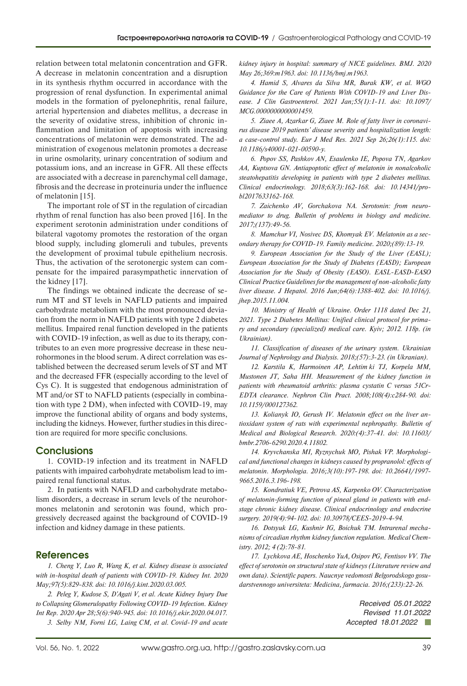relation between total melatonin concentration and GFR. A decrease in melatonin concentration and a disruption in its synthesis rhythm occurred in accordance with the progression of renal dysfunction. In experimental animal models in the formation of pyelonephritis, renal failure, arterial hypertension and diabetes mellitus, a decrease in the severity of oxidative stress, inhibition of chronic inflammation and limitation of apoptosis with increasing concentrations of melatonin were demonstrated. The administration of exogenous melatonin promotes a decrease in urine osmolarity, urinary concentration of sodium and potassium ions, and an increase in GFR. All these effects are associated with a decrease in parenchymal cell damage, fibrosis and the decrease in proteinuria under the influence of melatonin [15].

The important role of ST in the regulation of circadian rhythm of renal function has also been proved [16]. In the experiment serotonin administration under conditions of bilateral vagotomy promotes the restoration of the organ blood supply, including glomeruli and tubules, prevents the development of proximal tubule epithelium necrosis. Thus, the activation of the serotonergic system can compensate for the impaired parasympathetic innervation of the kidney [17].

The findings we obtained indicate the decrease of serum MT and ST levels in NAFLD patients and impaired carbohydrate metabolism with the most pronounced deviation from the norm in NAFLD patients with type 2 diabetes mellitus. Impaired renal function developed in the patients with COVID-19 infection, as well as due to its therapy, contributes to an even more progressive decrease in these neurohormones in the blood serum. A direct correlation was established between the decreased serum levels of ST and MT and the decreased FFR (especially according to the level of Cys C). It is suggested that endogenous administration of MT and/or ST to NAFLD patients (especially in combination with type 2 DM), when infected with COVID-19, may improve the functional ability of organs and body systems, including the kidneys. However, further studies in this direction are required for more specific conclusions.

# **Conclusions**

1. COVID-19 infection and its treatment in NAFLD patients with impaired carbohydrate metabolism lead to impaired renal functional status.

2. In patients with NAFLD and carbohydrate metabolism disorders, a decrease in serum levels of the neurohormones melatonin and serotonin was found, which progressively decreased against the background of COVID-19 infection and kidney damage in these patients.

### **References**

*1. [Cheng Y, Luo R, Wang K, et al. Kidney disease is associated](https://pubmed.ncbi.nlm.nih.gov/32247631/) [with in-hospital death of patients with COVID-19. Kidney Int. 2020](https://pubmed.ncbi.nlm.nih.gov/32247631/) [May;97\(5\):829-838. doi: 10.1016/j.kint.2020.03.005.](https://pubmed.ncbi.nlm.nih.gov/32247631/)*

*2. [Peleg Y, Kudose S, D'Agati V, et al. Acute Kidney Injury Due](https://pubmed.ncbi.nlm.nih.gov/32346659/) [to Collapsing Glomerulopathy Following COVID-19 Infection. Kidney](https://pubmed.ncbi.nlm.nih.gov/32346659/) [Int Rep. 2020 Apr 28;5\(6\):940-945. doi: 10.1016/j.ekir.2020.04.017.](https://pubmed.ncbi.nlm.nih.gov/32346659/) 3. [Selby NM, Forni LG, Laing CM, et al. Covid-19 and acute](https://pubmed.ncbi.nlm.nih.gov/32457068/)*  *[kidney injury in hospital: summary of NICE guidelines. BMJ. 2020](https://pubmed.ncbi.nlm.nih.gov/32457068/)  [May 26;369:m1963. doi: 10.1136/bmj.m1963.](https://pubmed.ncbi.nlm.nih.gov/32457068/)*

*4. [Hamid S, Alvares da Silva MR, Burak KW, et al. WGO](https://pubmed.ncbi.nlm.nih.gov/33230011/)  [Guidance for the Care of Patients With COVID-19 and Liver Dis](https://pubmed.ncbi.nlm.nih.gov/33230011/)[ease. J Clin Gastroenterol. 2021 Jan;55\(1\):1-11. doi: 10.1097/](https://pubmed.ncbi.nlm.nih.gov/33230011/) [MCG.0000000000001459.](https://pubmed.ncbi.nlm.nih.gov/33230011/)*

*5. [Ziaee A, Azarkar G, Ziaee M. Role of fatty liver in coronavi](https://pubmed.ncbi.nlm.nih.gov/34565475/)[rus disease 2019 patients' disease severity and hospitalization length:](https://pubmed.ncbi.nlm.nih.gov/34565475/)  [a case-control study. Eur J Med Res. 2021 Sep 26;26\(1\):115. doi:](https://pubmed.ncbi.nlm.nih.gov/34565475/)  [10.1186/s40001-021-00590-y.](https://pubmed.ncbi.nlm.nih.gov/34565475/)*

*6. [Popov SS, Pashkov AN, Esaulenko IE, Popova TN, Agarkov](https://www.probl-endojournals.ru/jour/article/view/7833)  [AA, Kuptsova GN. Antiapoptotic effect of melatonin in nonalcoholic](https://www.probl-endojournals.ru/jour/article/view/7833)  [steatohepatitis developing in patients with type 2 diabetes mellitus.](https://www.probl-endojournals.ru/jour/article/view/7833)  [Clinical endocrinology. 2018;63\(3\):162-168. doi: 10.14341/pro](https://www.probl-endojournals.ru/jour/article/view/7833)[bl2017633162-168.](https://www.probl-endojournals.ru/jour/article/view/7833)*

*7. Zaichenko AV, Gorchakova NA. Serotonin: from neuromediator to drug. Bulletin of problems in biology and medicine. 2017;(137):49-56.*

*8. Mamchur VI, Nosivec DS, Khomyak EV. Melatonin as a secondary therapy for COVID-19. Family medicine. 2020;(89):13-19.*

*9. [European Association for the Study of the Liver \(EASL\);](https://pubmed.ncbi.nlm.nih.gov/27062661/)  [European Association for the Study of Diabetes \(EASD\); European](https://pubmed.ncbi.nlm.nih.gov/27062661/)  [Association for the Study of Obesity \(EASO\). EASL-EASD-EASO](https://pubmed.ncbi.nlm.nih.gov/27062661/)  [Clinical Practice Guidelines for the management of non-alcoholic fatty](https://pubmed.ncbi.nlm.nih.gov/27062661/)  [liver disease. J Hepatol. 2016 Jun;64\(6\):1388-402. doi: 10.1016/j.](https://pubmed.ncbi.nlm.nih.gov/27062661/) [jhep.2015.11.004.](https://pubmed.ncbi.nlm.nih.gov/27062661/)*

*10. [Ministry of Health of Ukraine. Order 1118 dated Dec 21,](https://dec.gov.ua/wp-content/uploads/2019/11/2012_1118akn.pdf)  [2021. Type 2 Diabetes Mellitus: Unified clinical protocol for prima](https://dec.gov.ua/wp-content/uploads/2019/11/2012_1118akn.pdf)[ry and secondary \(specialized\) medical care. Kyiv; 2012. 118p. \(in](https://dec.gov.ua/wp-content/uploads/2019/11/2012_1118akn.pdf)  [Ukrainian\).](https://dec.gov.ua/wp-content/uploads/2019/11/2012_1118akn.pdf)*

*11. Classification of diseases of the urinary system. Ukrainian Journal of Nephrology and Dialysis. 2018;(57):3-23. (in Ukranian).*

*12. [Karstila K, Harmoinen AP, Lehtimäki TJ, Korpela MM,](https://pubmed.ncbi.nlm.nih.gov/18434750/)  [Mustonen JT, Saha HH. Measurement of the kidney function in](https://pubmed.ncbi.nlm.nih.gov/18434750/)  [patients with rheumatoid arthritis: plasma cystatin C versus 51Cr-](https://pubmed.ncbi.nlm.nih.gov/18434750/)[EDTA clearance. Nephron Clin Pract. 2008;108\(4\):c284-90. doi:](https://pubmed.ncbi.nlm.nih.gov/18434750/)  [10.1159/000127362.](https://pubmed.ncbi.nlm.nih.gov/18434750/)*

*13. [Kolianyk ІО, Gerush ІV. Melatonin effect on the liver an](https://ojs.tdmu.edu.ua/index.php/bmbr/article/view/11802)[tioxidant system of rats with experimental nephropathy. Bulletin of](https://ojs.tdmu.edu.ua/index.php/bmbr/article/view/11802)  [Medical and Biological Research. 2020:\(4\):37-41. doi: 10.11603/](https://ojs.tdmu.edu.ua/index.php/bmbr/article/view/11802) [bmbr.2706-6290.2020.4.11802.](https://ojs.tdmu.edu.ua/index.php/bmbr/article/view/11802)*

*14. [Kryvchanska MI, Ryznychuk MO, Pishak VP. Morphologi](http://morphology.dma.dp.ua/article/view/139447)[cal and functional changes in kidneys caused by propranolol: effects of](http://morphology.dma.dp.ua/article/view/139447)  [melatonin. Morphologia. 2016;3\(10\):197-198. doi: 10.26641/1997-](http://morphology.dma.dp.ua/article/view/139447) [9665.2016.3.196-198.](http://morphology.dma.dp.ua/article/view/139447)*

*15. [Kondratiuk VE, Petrova AS, Karpenko OV. Characterization](http://jcees.endocenter.kiev.ua/article/view/189484)  [of melatonin-forming function of pineal gland in patients with end](http://jcees.endocenter.kiev.ua/article/view/189484)[stage chronic kidney disease. Clinical endocrinology and endocrine](http://jcees.endocenter.kiev.ua/article/view/189484)  [surgery. 2019\(4\):94-102. doi: 10.30978/CEES-2019-4-94.](http://jcees.endocenter.kiev.ua/article/view/189484)*

*16. [Dotsyuk LG, Kushnir IG, Boichuk TM. Intrarenal mecha](https://ojs.tdmu.edu.ua/index.php/med-chem/article/view/702)[nisms of circadian rhythm kidney function regulation. Medical Chem](https://ojs.tdmu.edu.ua/index.php/med-chem/article/view/702)[istry. 2012; 4 \(2\):78-81.](https://ojs.tdmu.edu.ua/index.php/med-chem/article/view/702)*

*17. Lychkova AE, Hoschenko YuA, Osipov PG, Fentisov VV. The effect of serotonin on structural state of kidneys (Literature review and own data). Scientific papers. Naucnye vedomosti Belgorodskogo gosudarstvennogo universiteta: Medicina, farmacia. 2016;(233):22-26.*

> *Received 05.01.2022 Revised 11.01.2022 Accepted 18.01.2022*